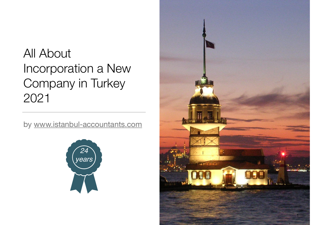# All About Incorporation a New Company in Turkey 2021

by www.istanbul-accountants.com



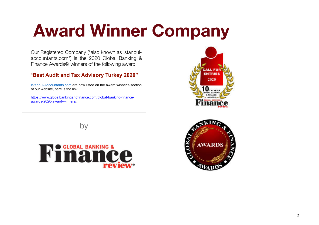# **Award Winner Company**

Our Registered Company ("also known as istanbulaccountants.com") is the 2020 Global Banking & Finance Awards® winners of the following award;

#### "**Best Audit and Tax Advisory Turkey 2020"**

Istanbul-Accountants.com are now listed on the award winner's section of our website, here is the link;

https://www.globalbankingandfinance.com/global-banking-financeawards-2020-award-winners/.

by





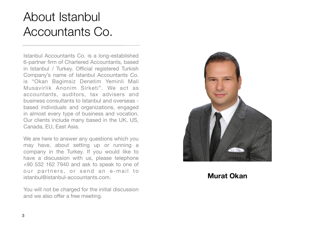# About Istanbul Accountants Co.

Istanbul Accountants Co. is a long-established 6-partner firm of Chartered Accountants, based in Istanbul / Turkey. Official registered Turkish Company's name of Istanbul Accountants Co. is "Okan Bagimsiz Denetim Yeminli Mali Musavirlik Anonim Sirketi". We act as accountants, auditors, tax advisers and business consultants to Istanbul and overseas based individuals and organizations, engaged in almost every type of business and vocation. Our clients include many based in the UK, US, Canada, EU, East Asia.

We are here to answer any questions which you may have, about setting up or running a company in the Turkey. If you would like to have a discussion with us, please telephone +90 532 162 7940 and ask to speak to one of our partners, or send an e-mail to istanbul@istanbul-accountants.com.

You will not be charged for the initial discussion and we also offer a free meeting.



**Murat Okan**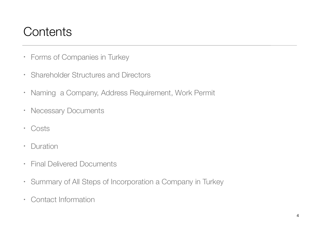## **Contents**

- Forms of Companies in Turkey
- Shareholder Structures and Directors
- Naming a Company, Address Requirement, Work Permit
- Necessary Documents
- Costs
- Duration
- Final Delivered Documents
- Summary of All Steps of Incorporation a Company in Turkey
- Contact Information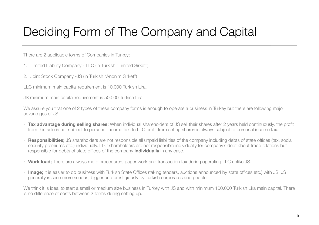# Deciding Form of The Company and Capital

There are 2 applicable forms of Companies in Turkey;

- 1. Limited Liability Company LLC (In Turkish "Limited Sirket")
- 2. Joint Stock Company -JS (In Turkish "Anonim Sirket")

LLC minimum main capital requirement is 10.000 Turkish Lira.

JS minimum main capital requirement is 50.000 Turkish Lira.

We assure you that one of 2 types of these company forms is enough to operate a business in Turkey but there are following major advantages of JS;

- **Tax advantage during selling shares;** When individual shareholders of JS sell their shares after 2 years held continuously, the profit from this sale is not subject to personal income tax. In LLC profit from selling shares is always subject to personal income tax.
- **Responsibilities;** JS shareholders are not responsible all unpaid liabilities of the company including debts of state offices (tax, social security premiums etc.) individually. LLC shareholders are not responsible individually for company's debt about trade relations but responsible for debts of state offices of the company **individually** in any case.
- **Work load;** There are always more procedures, paper work and transaction tax during operating LLC unlike JS.
- **Image;** It is easier to do business with Turkish State Offices (taking tenders, auctions announced by state offices etc.) with JS. JS generally is seen more serious, bigger and prestigiously by Turkish corporates and people.

We think it is ideal to start a small or medium size business in Turkey with JS and with minimum 100.000 Turkish Lira main capital. There is no difference of costs between 2 forms during setting up.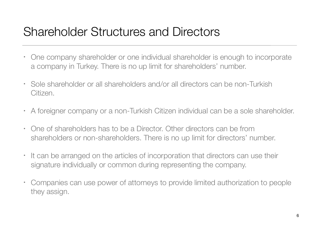### Shareholder Structures and Directors

- One company shareholder or one individual shareholder is enough to incorporate a company in Turkey. There is no up limit for shareholders' number.
- Sole shareholder or all shareholders and/or all directors can be non-Turkish Citizen.
- A foreigner company or a non-Turkish Citizen individual can be a sole shareholder.
- One of shareholders has to be a Director. Other directors can be from shareholders or non-shareholders. There is no up limit for directors' number.
- It can be arranged on the articles of incorporation that directors can use their signature individually or common during representing the company.
- Companies can use power of attorneys to provide limited authorization to people they assign.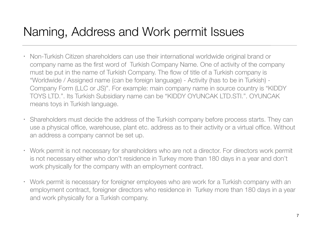#### Naming, Address and Work permit Issues

- Non-Turkish Citizen shareholders can use their international worldwide original brand or company name as the first word of Turkish Company Name. One of activity of the company must be put in the name of Turkish Company. The flow of title of a Turkish company is "Worldwide / Assigned name (can be foreign language) - Activity (has to be in Turkish) - Company Form (LLC or JS)". For example: main company name in source country is "KIDDY TOYS LTD.". Its Turkish Subsidiary name can be "KIDDY OYUNCAK LTD.STI.". OYUNCAK means toys in Turkish language.
- Shareholders must decide the address of the Turkish company before process starts. They can use a physical office, warehouse, plant etc. address as to their activity or a virtual office. Without an address a company cannot be set up.
- Work permit is not necessary for shareholders who are not a director. For directors work permit is not necessary either who don't residence in Turkey more than 180 days in a year and don't work physically for the company with an employment contract.
- Work permit is necessary for foreigner employees who are work for a Turkish company with an employment contract, foreigner directors who residence in Turkey more than 180 days in a year and work physically for a Turkish company.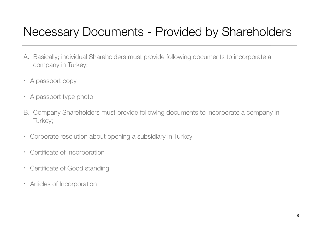### Necessary Documents - Provided by Shareholders

- A. Basically; individual Shareholders must provide following documents to incorporate a company in Turkey;
- A passport copy
- A passport type photo
- B. Company Shareholders must provide following documents to incorporate a company in Turkey;
- Corporate resolution about opening a subsidiary in Turkey
- Certificate of Incorporation
- Certificate of Good standing
- Articles of Incorporation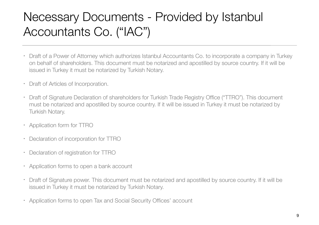# Necessary Documents - Provided by Istanbul Accountants Co. ("IAC")

- Draft of a Power of Attorney which authorizes Istanbul Accountants Co. to incorporate a company in Turkey on behalf of shareholders. This document must be notarized and apostilled by source country. If it will be issued in Turkey it must be notarized by Turkish Notary.
- Draft of Articles of Incorporation.
- Draft of Signature Declaration of shareholders for Turkish Trade Registry Office ("TTRO"). This document must be notarized and apostilled by source country. If it will be issued in Turkey it must be notarized by Turkish Notary.
- Application form for TTRO
- Declaration of incorporation for TTRO
- Declaration of registration for TTRO
- Application forms to open a bank account
- Draft of Signature power. This document must be notarized and apostilled by source country. If it will be issued in Turkey it must be notarized by Turkish Notary.
- Application forms to open Tax and Social Security Offices' account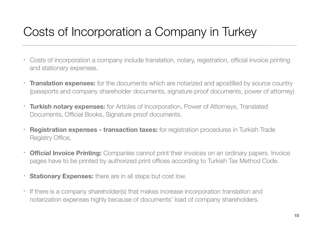# Costs of Incorporation a Company in Turkey

- Costs of incorporation a company include translation, notary, registration, official invoice printing and stationary expenses.
- **Translation expenses:** for the documents which are notarized and apostilled by source country (passports and company shareholder documents, signature proof documents, power of attorney)
- **Turkish notary expenses:** for Articles of Incorporation, Power of Attorneys, Translated Documents, Official Books, Signature proof documents.
- **Registration expenses transaction taxes:** for registration procedures in Turkish Trade Registry Office,
- **Official Invoice Printing:** Companies cannot print their invoices on an ordinary papers. Invoice pages have to be printed by authorized print offices according to Turkish Tax Method Code.
- **Stationary Expenses:** there are in all steps but cost low.
- If there is a company shareholder(s) that makes increase incorporation translation and notarization expenses highly because of documents' load of company shareholders.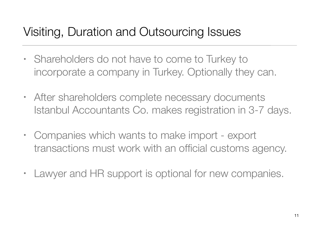# Visiting, Duration and Outsourcing Issues

- Shareholders do not have to come to Turkey to incorporate a company in Turkey. Optionally they can.
- After shareholders complete necessary documents Istanbul Accountants Co. makes registration in 3-7 days.
- Companies which wants to make import export transactions must work with an official customs agency.
- Lawyer and HR support is optional for new companies.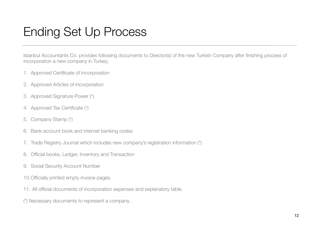## Ending Set Up Process

Istanbul Accountants Co. provides following documents to Director(s) of the new Turkish Company after finishing process of incorporation a new company in Turkey;

- 1. Approved Certificate of Incorporation
- 2. Approved Articles of Incorporation
- 3. Approved Signature Power (\*)
- 4. Approved Tax Certificate (\*)
- 5. Company Stamp (\*)
- 6. Bank account book and internet banking codes
- 7. Trade Registry Journal which includes new company's registration information (\*)
- 8. Official books, Ledger, Inventory and Transaction
- 9. Social Security Account Number
- 10.Officially printed empty invoice pages.
- 11. All official documents of incorporation expenses and explanatory table.
- (\*) Necessary documents to represent a company.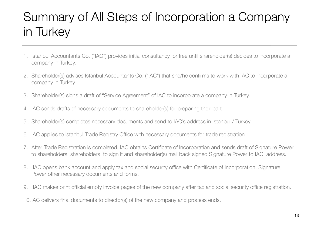# Summary of All Steps of Incorporation a Company in Turkey

- 1. Istanbul Accountants Co. ("IAC") provides initial consultancy for free until shareholder(s) decides to incorporate a company in Turkey.
- 2. Shareholder(s) advises Istanbul Accountants Co. ("IAC") that she/he confirms to work with IAC to incorporate a company in Turkey.
- 3. Shareholder(s) signs a draft of "Service Agreement" of IAC to incorporate a company in Turkey.
- 4. IAC sends drafts of necessary documents to shareholder(s) for preparing their part.
- 5. Shareholder(s) completes necessary documents and send to IAC's address in Istanbul / Turkey.
- 6. IAC applies to Istanbul Trade Registry Office with necessary documents for trade registration.
- 7. After Trade Registration is completed, IAC obtains Certificate of Incorporation and sends draft of Signature Power to shareholders, shareholders to sign it and shareholder(s) mail back signed Signature Power to IAC' address.
- 8. IAC opens bank account and apply tax and social security office with Certificate of Incorporation, Signature Power other necessary documents and forms.
- 9. IAC makes print official empty invoice pages of the new company after tax and social security office registration.

10.IAC delivers final documents to director(s) of the new company and process ends.